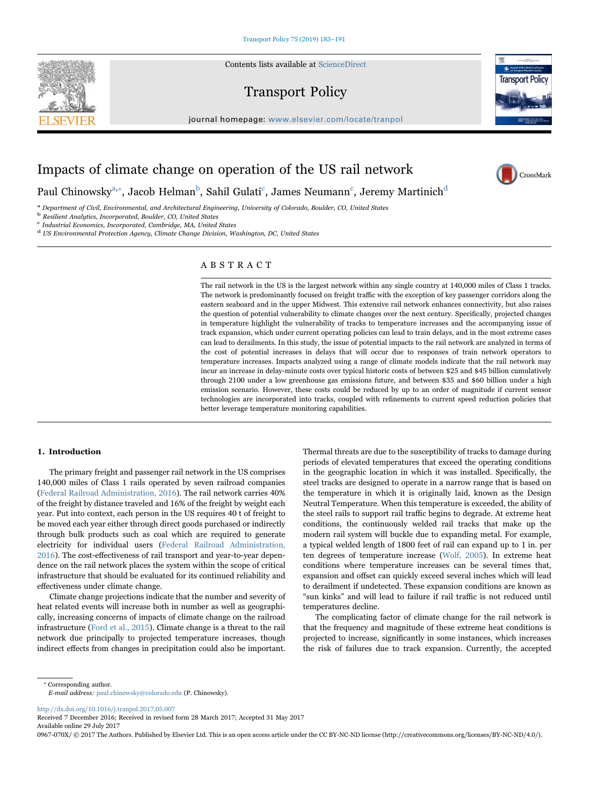Contents lists available at [ScienceDirect](http://www.sciencedirect.com/science/journal/0967070X)







CrossMark

journal homepage: [www.elsevier.com/locate/tranpol](http://www.elsevier.com/locate/tranpol)

# Impacts of climate change on operation of the US rail network

Paul Chinowsky $^{\mathrm{a},*}$ , Jacob Helman $^{\mathrm{b}}$ , Sahil Gulati $^{\mathrm{c}}$ , James Neumann $^{\mathrm{c}}$ [, Jeremy Martinich](#page-0-3) $^{\mathrm{d}}$  $^{\mathrm{d}}$  $^{\mathrm{d}}$ 

<span id="page-0-0"></span><sup>a</sup> Department of Civil, Environmental, and Architectural Engineering, University of Colorado, Boulder, CO, United States

<span id="page-0-2"></span><sup>b</sup> Resilient Analytics, Incorporated, Boulder, CO, United States

<span id="page-0-3"></span>Industrial Economics, Incorporated, Cambridge, MA, United States

<span id="page-0-4"></span><sup>d</sup> US Environmental Protection Agency, Climate Change Division, Washington, DC, United States

# ABSTRACT

The rail network in the US is the largest network within any single country at 140,000 miles of Class 1 tracks. The network is predominantly focused on freight traffic with the exception of key passenger corridors along the eastern seaboard and in the upper Midwest. This extensive rail network enhances connectivity, but also raises the question of potential vulnerability to climate changes over the next century. Specifically, projected changes in temperature highlight the vulnerability of tracks to temperature increases and the accompanying issue of track expansion, which under current operating policies can lead to train delays, and in the most extreme cases can lead to derailments. In this study, the issue of potential impacts to the rail network are analyzed in terms of the cost of potential increases in delays that will occur due to responses of train network operators to temperature increases. Impacts analyzed using a range of climate models indicate that the rail network may incur an increase in delay-minute costs over typical historic costs of between \$25 and \$45 billion cumulatively through 2100 under a low greenhouse gas emissions future, and between \$35 and \$60 billion under a high emission scenario. However, these costs could be reduced by up to an order of magnitude if current sensor technologies are incorporated into tracks, coupled with refinements to current speed reduction policies that better leverage temperature monitoring capabilities.

## 1. Introduction

The primary freight and passenger rail network in the US comprises 140,000 miles of Class 1 rails operated by seven railroad companies ([Federal Railroad Administration, 2016](#page-8-0)). The rail network carries 40% of the freight by distance traveled and 16% of the freight by weight each year. Put into context, each person in the US requires 40 t of freight to be moved each year either through direct goods purchased or indirectly through bulk products such as coal which are required to generate electricity for individual users ([Federal Railroad Administration,](#page-8-0) [2016\)](#page-8-0). The cost-effectiveness of rail transport and year-to-year dependence on the rail network places the system within the scope of critical infrastructure that should be evaluated for its continued reliability and effectiveness under climate change.

Climate change projections indicate that the number and severity of heat related events will increase both in number as well as geographically, increasing concerns of impacts of climate change on the railroad infrastructure ([Ford et al., 2015](#page-8-1)). Climate change is a threat to the rail network due principally to projected temperature increases, though indirect effects from changes in precipitation could also be important.

Thermal threats are due to the susceptibility of tracks to damage during periods of elevated temperatures that exceed the operating conditions in the geographic location in which it was installed. Specifically, the steel tracks are designed to operate in a narrow range that is based on the temperature in which it is originally laid, known as the Design Neutral Temperature. When this temperature is exceeded, the ability of the steel rails to support rail traffic begins to degrade. At extreme heat conditions, the continuously welded rail tracks that make up the modern rail system will buckle due to expanding metal. For example, a typical welded length of 1800 feet of rail can expand up to 1 in. per ten degrees of temperature increase ([Wolf, 2005\)](#page-8-2). In extreme heat conditions where temperature increases can be several times that, expansion and offset can quickly exceed several inches which will lead to derailment if undetected. These expansion conditions are known as "sun kinks" and will lead to failure if rail traffic is not reduced until temperatures decline.

The complicating factor of climate change for the rail network is that the frequency and magnitude of these extreme heat conditions is projected to increase, significantly in some instances, which increases the risk of failures due to track expansion. Currently, the accepted

<span id="page-0-1"></span>⁎ Corresponding author.

E-mail address: paul.chinowsky@colorado.edu (P. Chinowsky).

<http://dx.doi.org/10.1016/j.tranpol.2017.05.007>

Received 7 December 2016; Received in revised form 28 March 2017; Accepted 31 May 2017 Available online 29 July 2017

0967-070X/ © 2017 The Authors. Published by Elsevier Ltd. This is an open access article under the CC BY-NC-ND license (http://creativecommons.org/licenses/BY-NC-ND/4.0/).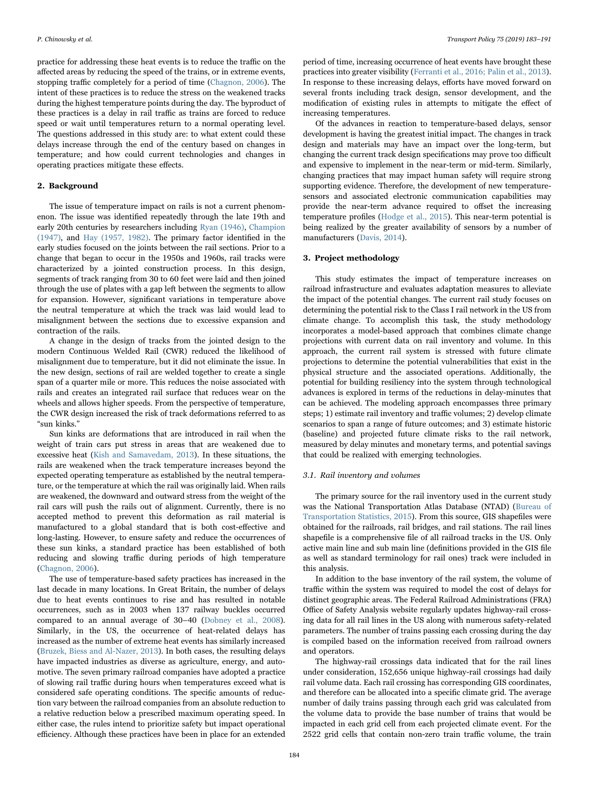practice for addressing these heat events is to reduce the traffic on the affected areas by reducing the speed of the trains, or in extreme events, stopping traffic completely for a period of time ([Chagnon, 2006](#page-8-3)). The intent of these practices is to reduce the stress on the weakened tracks during the highest temperature points during the day. The byproduct of these practices is a delay in rail traffic as trains are forced to reduce speed or wait until temperatures return to a normal operating level. The questions addressed in this study are: to what extent could these delays increase through the end of the century based on changes in temperature; and how could current technologies and changes in operating practices mitigate these effects.

# 2. Background

The issue of temperature impact on rails is not a current phenomenon. The issue was identified repeatedly through the late 19th and early 20th centuries by researchers including [Ryan \(1946\)](#page-8-4), [Champion](#page-8-5) [\(1947\),](#page-8-5) and [Hay \(1957, 1982\)](#page-8-6). The primary factor identified in the early studies focused on the joints between the rail sections. Prior to a change that began to occur in the 1950s and 1960s, rail tracks were characterized by a jointed construction process. In this design, segments of track ranging from 30 to 60 feet were laid and then joined through the use of plates with a gap left between the segments to allow for expansion. However, significant variations in temperature above the neutral temperature at which the track was laid would lead to misalignment between the sections due to excessive expansion and contraction of the rails.

A change in the design of tracks from the jointed design to the modern Continuous Welded Rail (CWR) reduced the likelihood of misalignment due to temperature, but it did not eliminate the issue. In the new design, sections of rail are welded together to create a single span of a quarter mile or more. This reduces the noise associated with rails and creates an integrated rail surface that reduces wear on the wheels and allows higher speeds. From the perspective of temperature, the CWR design increased the risk of track deformations referred to as "sun kinks."

Sun kinks are deformations that are introduced in rail when the weight of train cars put stress in areas that are weakened due to excessive heat ([Kish and Samavedam, 2013](#page-8-7)). In these situations, the rails are weakened when the track temperature increases beyond the expected operating temperature as established by the neutral temperature, or the temperature at which the rail was originally laid. When rails are weakened, the downward and outward stress from the weight of the rail cars will push the rails out of alignment. Currently, there is no accepted method to prevent this deformation as rail material is manufactured to a global standard that is both cost-effective and long-lasting. However, to ensure safety and reduce the occurrences of these sun kinks, a standard practice has been established of both reducing and slowing traffic during periods of high temperature ([Chagnon, 2006\)](#page-8-3).

The use of temperature-based safety practices has increased in the last decade in many locations. In Great Britain, the number of delays due to heat events continues to rise and has resulted in notable occurrences, such as in 2003 when 137 railway buckles occurred compared to an annual average of 30–40 ([Dobney et al., 2008\)](#page-8-8). Similarly, in the US, the occurrence of heat-related delays has increased as the number of extreme heat events has similarly increased ([Bruzek, Biess and Al-Nazer, 2013](#page-8-9)). In both cases, the resulting delays have impacted industries as diverse as agriculture, energy, and automotive. The seven primary railroad companies have adopted a practice of slowing rail traffic during hours when temperatures exceed what is considered safe operating conditions. The specific amounts of reduction vary between the railroad companies from an absolute reduction to a relative reduction below a prescribed maximum operating speed. In either case, the rules intend to prioritize safety but impact operational efficiency. Although these practices have been in place for an extended

period of time, increasing occurrence of heat events have brought these practices into greater visibility [\(Ferranti et al., 2016; Palin et al., 2013\)](#page-8-10). In response to these increasing delays, efforts have moved forward on several fronts including track design, sensor development, and the modification of existing rules in attempts to mitigate the effect of increasing temperatures.

Of the advances in reaction to temperature-based delays, sensor development is having the greatest initial impact. The changes in track design and materials may have an impact over the long-term, but changing the current track design specifications may prove too difficult and expensive to implement in the near-term or mid-term. Similarly, changing practices that may impact human safety will require strong supporting evidence. Therefore, the development of new temperaturesensors and associated electronic communication capabilities may provide the near-term advance required to offset the increasing temperature profiles [\(Hodge et al., 2015\)](#page-8-11). This near-term potential is being realized by the greater availability of sensors by a number of manufacturers ([Davis, 2014](#page-8-12)).

### 3. Project methodology

This study estimates the impact of temperature increases on railroad infrastructure and evaluates adaptation measures to alleviate the impact of the potential changes. The current rail study focuses on determining the potential risk to the Class I rail network in the US from climate change. To accomplish this task, the study methodology incorporates a model-based approach that combines climate change projections with current data on rail inventory and volume. In this approach, the current rail system is stressed with future climate projections to determine the potential vulnerabilities that exist in the physical structure and the associated operations. Additionally, the potential for building resiliency into the system through technological advances is explored in terms of the reductions in delay-minutes that can be achieved. The modeling approach encompasses three primary steps; 1) estimate rail inventory and traffic volumes; 2) develop climate scenarios to span a range of future outcomes; and 3) estimate historic (baseline) and projected future climate risks to the rail network, measured by delay minutes and monetary terms, and potential savings that could be realized with emerging technologies.

#### 3.1. Rail inventory and volumes

The primary source for the rail inventory used in the current study was the National Transportation Atlas Database (NTAD) ([Bureau of](#page-8-13) [Transportation Statistics, 2015](#page-8-13)). From this source, GIS shapefiles were obtained for the railroads, rail bridges, and rail stations. The rail lines shapefile is a comprehensive file of all railroad tracks in the US. Only active main line and sub main line (definitions provided in the GIS file as well as standard terminology for rail ones) track were included in this analysis.

In addition to the base inventory of the rail system, the volume of traffic within the system was required to model the cost of delays for distinct geographic areas. The Federal Railroad Administrations (FRA) Office of Safety Analysis website regularly updates highway-rail crossing data for all rail lines in the US along with numerous safety-related parameters. The number of trains passing each crossing during the day is compiled based on the information received from railroad owners and operators.

The highway-rail crossings data indicated that for the rail lines under consideration, 152,656 unique highway-rail crossings had daily rail volume data. Each rail crossing has corresponding GIS coordinates, and therefore can be allocated into a specific climate grid. The average number of daily trains passing through each grid was calculated from the volume data to provide the base number of trains that would be impacted in each grid cell from each projected climate event. For the 2522 grid cells that contain non-zero train traffic volume, the train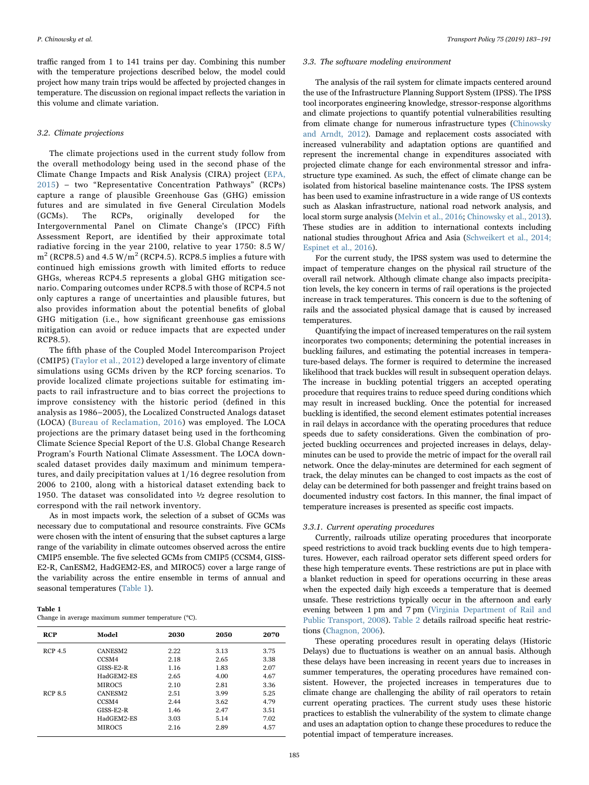traffic ranged from 1 to 141 trains per day. Combining this number with the temperature projections described below, the model could project how many train trips would be affected by projected changes in temperature. The discussion on regional impact reflects the variation in this volume and climate variation.

## 3.2. Climate projections

The climate projections used in the current study follow from the overall methodology being used in the second phase of the Climate Change Impacts and Risk Analysis (CIRA) project [\(EPA,](#page-8-14) [2015\)](#page-8-14) – two "Representative Concentration Pathways" (RCPs) capture a range of plausible Greenhouse Gas (GHG) emission futures and are simulated in five General Circulation Models (GCMs). The RCPs, originally developed for the Intergovernmental Panel on Climate Change's (IPCC) Fifth Assessment Report, are identified by their approximate total radiative forcing in the year 2100, relative to year 1750: 8.5 W/  $m<sup>2</sup>$  (RCP8.5) and 4.5 W/m<sup>2</sup> (RCP4.5). RCP8.5 implies a future with continued high emissions growth with limited efforts to reduce GHGs, whereas RCP4.5 represents a global GHG mitigation scenario. Comparing outcomes under RCP8.5 with those of RCP4.5 not only captures a range of uncertainties and plausible futures, but also provides information about the potential benefits of global GHG mitigation (i.e., how significant greenhouse gas emissions mitigation can avoid or reduce impacts that are expected under RCP8.5).

The fifth phase of the Coupled Model Intercomparison Project (CMIP5) [\(Taylor et al., 2012\)](#page-8-15) developed a large inventory of climate simulations using GCMs driven by the RCP forcing scenarios. To provide localized climate projections suitable for estimating impacts to rail infrastructure and to bias correct the projections to improve consistency with the historic period (defined in this analysis as 1986–2005), the Localized Constructed Analogs dataset (LOCA) ([Bureau of Reclamation, 2016](#page-8-16)) was employed. The LOCA projections are the primary dataset being used in the forthcoming Climate Science Special Report of the U.S. Global Change Research Program's Fourth National Climate Assessment. The LOCA downscaled dataset provides daily maximum and minimum temperatures, and daily precipitation values at 1/16 degree resolution from 2006 to 2100, along with a historical dataset extending back to 1950. The dataset was consolidated into ½ degree resolution to correspond with the rail network inventory.

As in most impacts work, the selection of a subset of GCMs was necessary due to computational and resource constraints. Five GCMs were chosen with the intent of ensuring that the subset captures a large range of the variability in climate outcomes observed across the entire CMIP5 ensemble. The five selected GCMs from CMIP5 (CCSM4, GISS-E2-R, CanESM2, HadGEM2-ES, and MIROC5) cover a large range of the variability across the entire ensemble in terms of annual and seasonal temperatures [\(Table 1\)](#page-2-0).

#### <span id="page-2-0"></span>Table 1

Change in average maximum summer temperature (°C).

| <b>RCP</b>     | Model       | 2030 | 2050 | 2070 |
|----------------|-------------|------|------|------|
| <b>RCP 4.5</b> | CANESM2     | 2.22 | 3.13 | 3.75 |
|                | CCSM4       | 2.18 | 2.65 | 3.38 |
|                | $GISS-E2-R$ | 1.16 | 1.83 | 2.07 |
|                | HadGEM2-ES  | 2.65 | 4.00 | 4.67 |
|                | MIROC5      | 2.10 | 2.81 | 3.36 |
| <b>RCP 8.5</b> | CANESM2     | 2.51 | 3.99 | 5.25 |
|                | CCSM4       | 2.44 | 3.62 | 4.79 |
|                | $GISS-E2-R$ | 1.46 | 2.47 | 3.51 |
|                | HadGEM2-ES  | 3.03 | 5.14 | 7.02 |
|                | MIROC5      | 2.16 | 2.89 | 4.57 |
|                |             |      |      |      |

#### 3.3. The software modeling environment

The analysis of the rail system for climate impacts centered around the use of the Infrastructure Planning Support System (IPSS). The IPSS tool incorporates engineering knowledge, stressor-response algorithms and climate projections to quantify potential vulnerabilities resulting from climate change for numerous infrastructure types [\(Chinowsky](#page-8-17) [and Arndt, 2012\)](#page-8-17). Damage and replacement costs associated with increased vulnerability and adaptation options are quantified and represent the incremental change in expenditures associated with projected climate change for each environmental stressor and infrastructure type examined. As such, the effect of climate change can be isolated from historical baseline maintenance costs. The IPSS system has been used to examine infrastructure in a wide range of US contexts such as Alaskan infrastructure, national road network analysis, and local storm surge analysis [\(Melvin et al., 2016](#page-8-18); [Chinowsky et al., 2013\)](#page-8-19). These studies are in addition to international contexts including national studies throughout Africa and Asia ([Schweikert et al., 2014;](#page-8-20) [Espinet et al., 2016\)](#page-8-20).

For the current study, the IPSS system was used to determine the impact of temperature changes on the physical rail structure of the overall rail network. Although climate change also impacts precipitation levels, the key concern in terms of rail operations is the projected increase in track temperatures. This concern is due to the softening of rails and the associated physical damage that is caused by increased temperatures.

Quantifying the impact of increased temperatures on the rail system incorporates two components; determining the potential increases in buckling failures, and estimating the potential increases in temperature-based delays. The former is required to determine the increased likelihood that track buckles will result in subsequent operation delays. The increase in buckling potential triggers an accepted operating procedure that requires trains to reduce speed during conditions which may result in increased buckling. Once the potential for increased buckling is identified, the second element estimates potential increases in rail delays in accordance with the operating procedures that reduce speeds due to safety considerations. Given the combination of projected buckling occurrences and projected increases in delays, delayminutes can be used to provide the metric of impact for the overall rail network. Once the delay-minutes are determined for each segment of track, the delay minutes can be changed to cost impacts as the cost of delay can be determined for both passenger and freight trains based on documented industry cost factors. In this manner, the final impact of temperature increases is presented as specific cost impacts.

# 3.3.1. Current operating procedures

Currently, railroads utilize operating procedures that incorporate speed restrictions to avoid track buckling events due to high temperatures. However, each railroad operator sets different speed orders for these high temperature events. These restrictions are put in place with a blanket reduction in speed for operations occurring in these areas when the expected daily high exceeds a temperature that is deemed unsafe. These restrictions typically occur in the afternoon and early evening between 1 pm and 7 pm [\(Virginia Department of Rail and](#page-8-21) [Public Transport, 2008\)](#page-8-21). [Table 2](#page-3-0) details railroad specific heat restrictions ([Chagnon, 2006](#page-8-3)).

These operating procedures result in operating delays (Historic Delays) due to fluctuations is weather on an annual basis. Although these delays have been increasing in recent years due to increases in summer temperatures, the operating procedures have remained consistent. However, the projected increases in temperatures due to climate change are challenging the ability of rail operators to retain current operating practices. The current study uses these historic practices to establish the vulnerability of the system to climate change and uses an adaptation option to change these procedures to reduce the potential impact of temperature increases.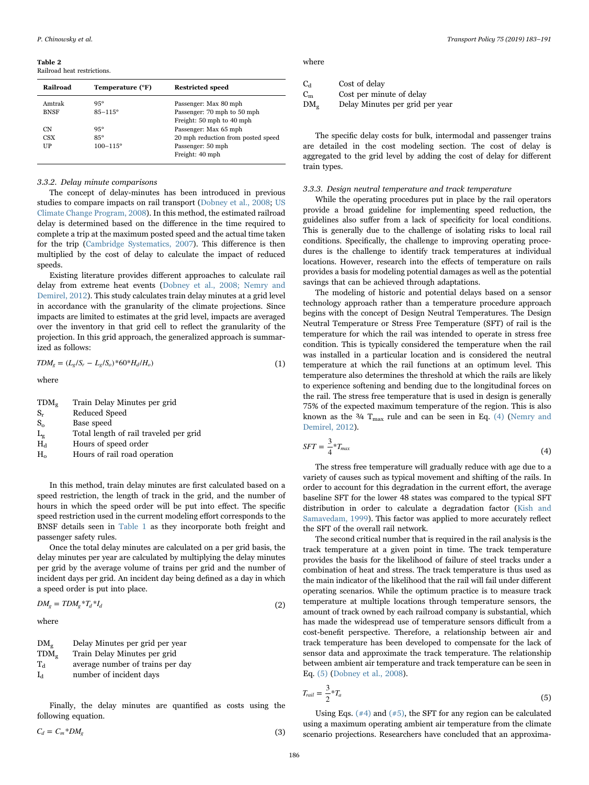<span id="page-3-0"></span>Table 2 Railroad heat restrictions.

| Railroad    | Temperature (°F) | <b>Restricted speed</b>            |
|-------------|------------------|------------------------------------|
| Amtrak      | $95^\circ$       | Passenger: Max 80 mph              |
| <b>BNSF</b> | $85 - 115$ °     | Passenger: 70 mph to 50 mph        |
|             |                  | Freight: 50 mph to 40 mph          |
| CN          | $95^\circ$       | Passenger: Max 65 mph              |
| CSX         | $85^\circ$       | 20 mph reduction from posted speed |
| UP          | $100 - 115$ °    | Passenger: 50 mph                  |
|             |                  | Freight: 40 mph                    |

# 3.3.2. Delay minute comparisons

The concept of delay-minutes has been introduced in previous studies to compare impacts on rail transport ([Dobney et al., 2008](#page-8-8); [US](#page-8-22) [Climate Change Program, 2008\)](#page-8-22). In this method, the estimated railroad delay is determined based on the difference in the time required to complete a trip at the maximum posted speed and the actual time taken for the trip ([Cambridge Systematics, 2007](#page-8-23)). This difference is then multiplied by the cost of delay to calculate the impact of reduced speeds.

Existing literature provides different approaches to calculate rail delay from extreme heat events ([Dobney et al., 2008; Nemry and](#page-8-8) [Demirel, 2012](#page-8-8)). This study calculates train delay minutes at a grid level in accordance with the granularity of the climate projections. Since impacts are limited to estimates at the grid level, impacts are averaged over the inventory in that grid cell to reflect the granularity of the projection. In this grid approach, the generalized approach is summarized as follows:

$$
TDM_g = (L_g/S_r - L_g/S_o)^* 60^* H_d/H_o)
$$
\n(1)

where

| $TDM_{\sigma}$ | Train Delay Minutes per grid |
|----------------|------------------------------|
| $S_r$          | Reduced Speed                |
| $S_{\alpha}$   | Base speed                   |

 $L_g$  Total length of rail traveled per grid<br>H<sub>d</sub> Hours of speed order

Hours of speed order

H<sub>o</sub> Hours of rail road operation

In this method, train delay minutes are first calculated based on a speed restriction, the length of track in the grid, and the number of hours in which the speed order will be put into effect. The specific speed restriction used in the current modeling effort corresponds to the BNSF details seen in [Table 1](#page-2-0) as they incorporate both freight and passenger safety rules.

Once the total delay minutes are calculated on a per grid basis, the delay minutes per year are calculated by multiplying the delay minutes per grid by the average volume of trains per grid and the number of incident days per grid. An incident day being defined as a day in which a speed order is put into place.

$$
DM_g = TDM_g * T_d * I_d \tag{2}
$$

where

DMg Delay Minutes per grid per year TDMg Train Delay Minutes per grid  $T<sub>d</sub>$  average number of trains per day Id number of incident days

Finally, the delay minutes are quantified as costs using the following equation.

$$
C_d = C_m * DM_g \tag{3}
$$

where

 $C_d$  Cost of delay<br>  $C_m$  Cost per min Cost per minute of delay DMg Delay Minutes per grid per year

The specific delay costs for bulk, intermodal and passenger trains are detailed in the cost modeling section. The cost of delay is aggregated to the grid level by adding the cost of delay for different train types.

## 3.3.3. Design neutral temperature and track temperature

While the operating procedures put in place by the rail operators provide a broad guideline for implementing speed reduction, the guidelines also suffer from a lack of specificity for local conditions. This is generally due to the challenge of isolating risks to local rail conditions. Specifically, the challenge to improving operating procedures is the challenge to identify track temperatures at individual locations. However, research into the effects of temperature on rails provides a basis for modeling potential damages as well as the potential savings that can be achieved through adaptations.

The modeling of historic and potential delays based on a sensor technology approach rather than a temperature procedure approach begins with the concept of Design Neutral Temperatures. The Design Neutral Temperature or Stress Free Temperature (SFT) of rail is the temperature for which the rail was intended to operate in stress free condition. This is typically considered the temperature when the rail was installed in a particular location and is considered the neutral temperature at which the rail functions at an optimum level. This temperature also determines the threshold at which the rails are likely to experience softening and bending due to the longitudinal forces on the rail. The stress free temperature that is used in design is generally 75% of the expected maximum temperature of the region. This is also known as the  $3/4$  T<sub>max</sub> rule and can be seen in Eq. [\(4\)](#page-3-1) ([Nemry and](#page-8-24) [Demirel, 2012\)](#page-8-24).

<span id="page-3-1"></span>
$$
SFT = \frac{3}{4} * T_{max} \tag{4}
$$

The stress free temperature will gradually reduce with age due to a variety of causes such as typical movement and shifting of the rails. In order to account for this degradation in the current effort, the average baseline SFT for the lower 48 states was compared to the typical SFT distribution in order to calculate a degradation factor [\(Kish and](#page-8-25) [Samavedam, 1999](#page-8-25)). This factor was applied to more accurately reflect the SFT of the overall rail network.

The second critical number that is required in the rail analysis is the track temperature at a given point in time. The track temperature provides the basis for the likelihood of failure of steel tracks under a combination of heat and stress. The track temperature is thus used as the main indicator of the likelihood that the rail will fail under different operating scenarios. While the optimum practice is to measure track temperature at multiple locations through temperature sensors, the amount of track owned by each railroad company is substantial, which has made the widespread use of temperature sensors difficult from a cost-benefit perspective. Therefore, a relationship between air and track temperature has been developed to compensate for the lack of sensor data and approximate the track temperature. The relationship between ambient air temperature and track temperature can be seen in Eq. [\(5\)](#page-3-2) [\(Dobney et al., 2008\)](#page-8-8).

<span id="page-3-2"></span>
$$
T_{\text{real}} = \frac{3}{2} \cdot T_a \tag{5}
$$

Using Eqs.  $(44)$  and  $(45)$ , the SFT for any region can be calculated using a maximum operating ambient air temperature from the climate scenario projections. Researchers have concluded that an approxima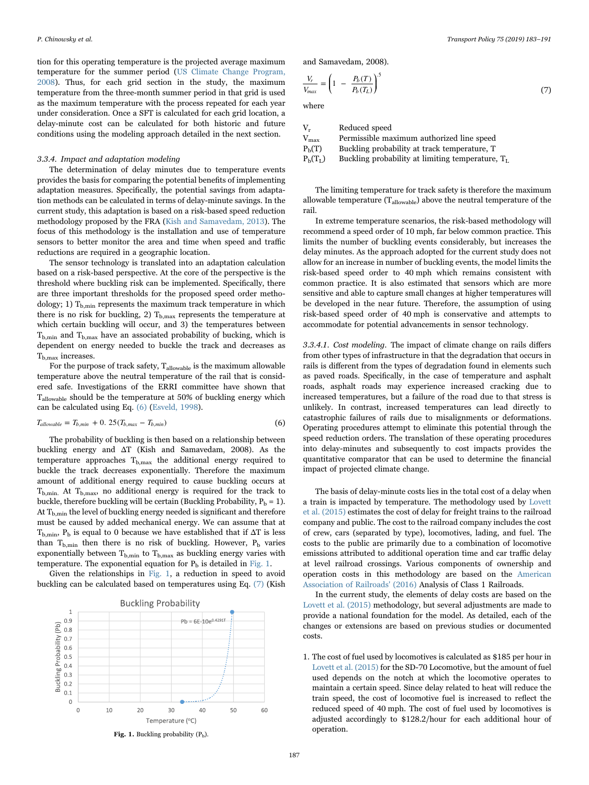tion for this operating temperature is the projected average maximum temperature for the summer period ([US Climate Change Program,](#page-8-22) [2008\)](#page-8-22). Thus, for each grid section in the study, the maximum temperature from the three-month summer period in that grid is used as the maximum temperature with the process repeated for each year under consideration. Once a SFT is calculated for each grid location, a delay-minute cost can be calculated for both historic and future conditions using the modeling approach detailed in the next section.

## 3.3.4. Impact and adaptation modeling

The determination of delay minutes due to temperature events provides the basis for comparing the potential benefits of implementing adaptation measures. Specifically, the potential savings from adaptation methods can be calculated in terms of delay-minute savings. In the current study, this adaptation is based on a risk-based speed reduction methodology proposed by the FRA ([Kish and Samavedam, 2013\)](#page-8-7). The focus of this methodology is the installation and use of temperature sensors to better monitor the area and time when speed and traffic reductions are required in a geographic location.

The sensor technology is translated into an adaptation calculation based on a risk-based perspective. At the core of the perspective is the threshold where buckling risk can be implemented. Specifically, there are three important thresholds for the proposed speed order methodology; 1)  $\rm T_{b,min}$  represents the maximum track temperature in which there is no risk for buckling, 2)  $T_{b,max}$  represents the temperature at which certain buckling will occur, and 3) the temperatures between  $T_{b,min}$  and  $T_{b,max}$  have an associated probability of bucking, which is dependent on energy needed to buckle the track and decreases as Tb,max increases.

For the purpose of track safety, Tallowable is the maximum allowable temperature above the neutral temperature of the rail that is considered safe. Investigations of the ERRI committee have shown that Tallowable should be the temperature at 50% of buckling energy which can be calculated using Eq. [\(6\)](#page-4-0) [\(Esveld, 1998](#page-8-26)).

<span id="page-4-0"></span>
$$
T_{allowable} = T_{b,min} + 0.25(T_{b,max} - T_{b,min})
$$
\n(6)

The probability of buckling is then based on a relationship between buckling energy and ΔT (Kish and Samavedam, 2008). As the temperature approaches  $T_{b,max}$  the additional energy required to buckle the track decreases exponentially. Therefore the maximum amount of additional energy required to cause buckling occurs at  $T_{\text{b,min}}$  At  $T_{\text{b,max}}$ , no additional energy is required for the track to buckle, therefore buckling will be certain (Buckling Probability,  $P_b = 1$ ). At  $T_{b,min}$  the level of buckling energy needed is significant and therefore must be caused by added mechanical energy. We can assume that at  $T_{b,min}$ ,  $P_b$  is equal to 0 because we have established that if  $\Delta T$  is less than  $T_{b,min}$  then there is no risk of buckling. However,  $P_b$  varies exponentially between  $T_{b,min}$  to  $T_{b,max}$  as buckling energy varies with temperature. The exponential equation for  $P_b$  is detailed in [Fig. 1](#page-4-1).

Given the relationships in [Fig. 1,](#page-4-1) a reduction in speed to avoid buckling can be calculated based on temperatures using Eq. [\(7\)](#page-4-2) (Kish

<span id="page-4-1"></span>

<span id="page-4-2"></span>and Samavedam, 2008).

$$
\frac{V_r}{V_{max}} = \left(1 - \frac{P_b(T)}{P_b(T_L)}\right)^5\tag{7}
$$

where

 $V_{\rm max}$  Reduced speed  $V_{\rm max}$  $V_{\text{max}}$  Permissible maximum authorized line speed<br> $P_b(T)$  Buckling probability at track temperature, T Buckling probability at track temperature, T  $P_b(T_L)$  Buckling probability at limiting temperature,  $T_L$ 

The limiting temperature for track safety is therefore the maximum allowable temperature  $(T_{\text{allowable}})$  above the neutral temperature of the rail.

In extreme temperature scenarios, the risk-based methodology will recommend a speed order of 10 mph, far below common practice. This limits the number of buckling events considerably, but increases the delay minutes. As the approach adopted for the current study does not allow for an increase in number of buckling events, the model limits the risk-based speed order to 40 mph which remains consistent with common practice. It is also estimated that sensors which are more sensitive and able to capture small changes at higher temperatures will be developed in the near future. Therefore, the assumption of using risk-based speed order of 40 mph is conservative and attempts to accommodate for potential advancements in sensor technology.

3.3.4.1. Cost modeling. The impact of climate change on rails differs from other types of infrastructure in that the degradation that occurs in rails is different from the types of degradation found in elements such as paved roads. Specifically, in the case of temperature and asphalt roads, asphalt roads may experience increased cracking due to increased temperatures, but a failure of the road due to that stress is unlikely. In contrast, increased temperatures can lead directly to catastrophic failures of rails due to misalignments or deformations. Operating procedures attempt to eliminate this potential through the speed reduction orders. The translation of these operating procedures into delay-minutes and subsequently to cost impacts provides the quantitative comparator that can be used to determine the financial impact of projected climate change.

The basis of delay-minute costs lies in the total cost of a delay when a train is impacted by temperature. The methodology used by [Lovett](#page-8-27) [et al. \(2015\)](#page-8-27) estimates the cost of delay for freight trains to the railroad company and public. The cost to the railroad company includes the cost of crew, cars (separated by type), locomotives, lading, and fuel. The costs to the public are primarily due to a combination of locomotive emissions attributed to additional operation time and car traffic delay at level railroad crossings. Various components of ownership and operation costs in this methodology are based on the [American](#page-7-0) [Association of Railroads' \(2016\)](#page-7-0) Analysis of Class 1 Railroads.

In the current study, the elements of delay costs are based on the [Lovett et al. \(2015\)](#page-8-27) methodology, but several adjustments are made to provide a national foundation for the model. As detailed, each of the changes or extensions are based on previous studies or documented costs.

1. The cost of fuel used by locomotives is calculated as \$185 per hour in [Lovett et al. \(2015\)](#page-8-27) for the SD-70 Locomotive, but the amount of fuel used depends on the notch at which the locomotive operates to maintain a certain speed. Since delay related to heat will reduce the train speed, the cost of locomotive fuel is increased to reflect the reduced speed of 40 mph. The cost of fuel used by locomotives is adjusted accordingly to \$128.2/hour for each additional hour of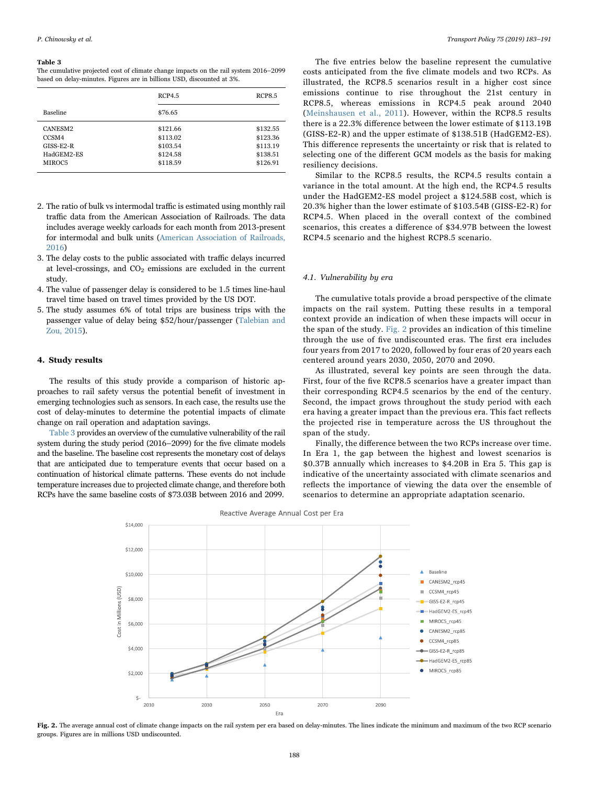#### <span id="page-5-0"></span>Table 3

The cumulative projected cost of climate change impacts on the rail system 2016–2099 based on delay-minutes. Figures are in billions USD, discounted at 3%.

|                 | RCP4.5   | <b>RCP8.5</b> |
|-----------------|----------|---------------|
| <b>Baseline</b> | \$76.65  |               |
| CANESM2         | \$121.66 | \$132.55      |
| CCSM4           | \$113.02 | \$123.36      |
| $GISS-E2-R$     | \$103.54 | \$113.19      |
| HadGEM2-ES      | \$124.58 | \$138.51      |
| MIROC5          | \$118.59 | \$126.91      |

- 2. The ratio of bulk vs intermodal traffic is estimated using monthly rail traffic data from the American Association of Railroads. The data includes average weekly carloads for each month from 2013-present for intermodal and bulk units ([American Association of Railroads,](#page-7-0) [2016\)](#page-7-0)
- 3. The delay costs to the public associated with traffic delays incurred at level-crossings, and  $CO<sub>2</sub>$  emissions are excluded in the current study.
- 4. The value of passenger delay is considered to be 1.5 times line-haul travel time based on travel times provided by the US DOT.
- 5. The study assumes 6% of total trips are business trips with the passenger value of delay being \$52/hour/passenger ([Talebian and](#page-8-28) [Zou, 2015](#page-8-28)).

#### 4. Study results

The results of this study provide a comparison of historic approaches to rail safety versus the potential benefit of investment in emerging technologies such as sensors. In each case, the results use the cost of delay-minutes to determine the potential impacts of climate change on rail operation and adaptation savings.

[Table 3](#page-5-0) provides an overview of the cumulative vulnerability of the rail system during the study period (2016–2099) for the five climate models and the baseline. The baseline cost represents the monetary cost of delays that are anticipated due to temperature events that occur based on a continuation of historical climate patterns. These events do not include temperature increases due to projected climate change, and therefore both RCPs have the same baseline costs of \$73.03B between 2016 and 2099.

The five entries below the baseline represent the cumulative costs anticipated from the five climate models and two RCPs. As illustrated, the RCP8.5 scenarios result in a higher cost since emissions continue to rise throughout the 21st century in RCP8.5, whereas emissions in RCP4.5 peak around 2040 ([Meinshausen et al., 2011](#page-8-29)). However, within the RCP8.5 results there is a 22.3% difference between the lower estimate of \$113.19B (GISS-E2-R) and the upper estimate of \$138.51B (HadGEM2-ES). This difference represents the uncertainty or risk that is related to selecting one of the different GCM models as the basis for making resiliency decisions.

Similar to the RCP8.5 results, the RCP4.5 results contain a variance in the total amount. At the high end, the RCP4.5 results under the HadGEM2-ES model project a \$124.58B cost, which is 20.3% higher than the lower estimate of \$103.54B (GISS-E2-R) for RCP4.5. When placed in the overall context of the combined scenarios, this creates a difference of \$34.97B between the lowest RCP4.5 scenario and the highest RCP8.5 scenario.

## 4.1. Vulnerability by era

The cumulative totals provide a broad perspective of the climate impacts on the rail system. Putting these results in a temporal context provide an indication of when these impacts will occur in the span of the study. [Fig. 2](#page-5-1) provides an indication of this timeline through the use of five undiscounted eras. The first era includes four years from 2017 to 2020, followed by four eras of 20 years each centered around years 2030, 2050, 2070 and 2090.

As illustrated, several key points are seen through the data. First, four of the five RCP8.5 scenarios have a greater impact than their corresponding RCP4.5 scenarios by the end of the century. Second, the impact grows throughout the study period with each era having a greater impact than the previous era. This fact reflects the projected rise in temperature across the US throughout the span of the study.

Finally, the difference between the two RCPs increase over time. In Era 1, the gap between the highest and lowest scenarios is \$0.37B annually which increases to \$4.20B in Era 5. This gap is indicative of the uncertainty associated with climate scenarios and reflects the importance of viewing the data over the ensemble of scenarios to determine an appropriate adaptation scenario.

<span id="page-5-1"></span>

#### Reactive Average Annual Cost per Era

Fig. 2. The average annual cost of climate change impacts on the rail system per era based on delay-minutes. The lines indicate the minimum and maximum of the two RCP scenario groups. Figures are in millions USD undiscounted.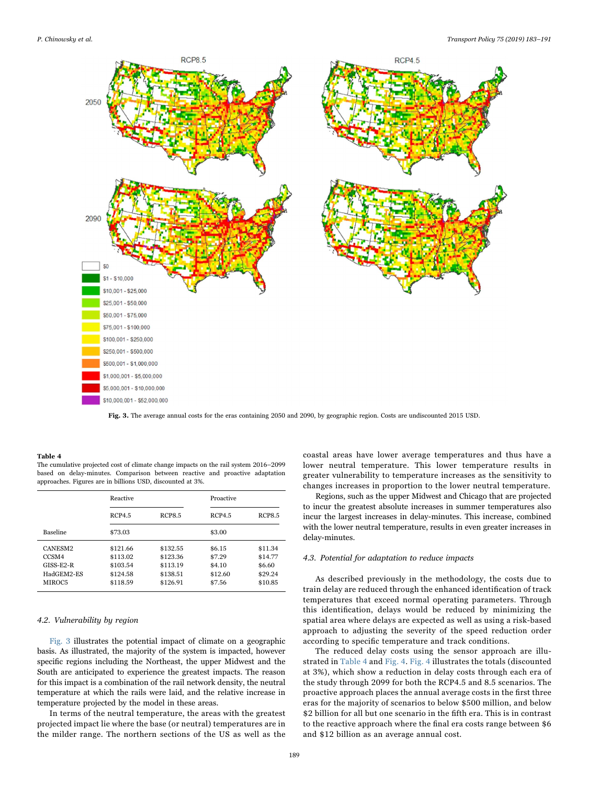<span id="page-6-0"></span>

Fig. 3. The average annual costs for the eras containing 2050 and 2090, by geographic region. Costs are undiscounted 2015 USD.

#### <span id="page-6-1"></span>Table 4

The cumulative projected cost of climate change impacts on the rail system 2016–2099 based on delay-minutes. Comparison between reactive and proactive adaptation approaches. Figures are in billions USD, discounted at 3%.

|                                                                     | Reactive                                                 |                                                          | Proactive                                       |                                                    |
|---------------------------------------------------------------------|----------------------------------------------------------|----------------------------------------------------------|-------------------------------------------------|----------------------------------------------------|
|                                                                     | RCP4.5                                                   | <b>RCP8.5</b>                                            | RCP4.5                                          | <b>RCP8.5</b>                                      |
| <b>Baseline</b>                                                     | \$73.03                                                  |                                                          | \$3.00                                          |                                                    |
| CANESM <sub>2</sub><br>CCSM4<br>$GISS-E2-R$<br>HadGEM2-ES<br>MIROC5 | \$121.66<br>\$113.02<br>\$103.54<br>\$124.58<br>\$118.59 | \$132.55<br>\$123.36<br>\$113.19<br>\$138.51<br>\$126.91 | \$6.15<br>\$7.29<br>\$4.10<br>\$12.60<br>\$7.56 | \$11.34<br>\$14.77<br>\$6.60<br>\$29.24<br>\$10.85 |

# 4.2. Vulnerability by region

[Fig. 3](#page-6-0) illustrates the potential impact of climate on a geographic basis. As illustrated, the majority of the system is impacted, however specific regions including the Northeast, the upper Midwest and the South are anticipated to experience the greatest impacts. The reason for this impact is a combination of the rail network density, the neutral temperature at which the rails were laid, and the relative increase in temperature projected by the model in these areas.

In terms of the neutral temperature, the areas with the greatest projected impact lie where the base (or neutral) temperatures are in the milder range. The northern sections of the US as well as the

coastal areas have lower average temperatures and thus have a lower neutral temperature. This lower temperature results in greater vulnerability to temperature increases as the sensitivity to changes increases in proportion to the lower neutral temperature.

Regions, such as the upper Midwest and Chicago that are projected to incur the greatest absolute increases in summer temperatures also incur the largest increases in delay-minutes. This increase, combined with the lower neutral temperature, results in even greater increases in delay-minutes.

# 4.3. Potential for adaptation to reduce impacts

As described previously in the methodology, the costs due to train delay are reduced through the enhanced identification of track temperatures that exceed normal operating parameters. Through this identification, delays would be reduced by minimizing the spatial area where delays are expected as well as using a risk-based approach to adjusting the severity of the speed reduction order according to specific temperature and track conditions.

The reduced delay costs using the sensor approach are illustrated in [Table 4](#page-6-1) and [Fig. 4](#page-7-1). [Fig. 4](#page-7-1) illustrates the totals (discounted at 3%), which show a reduction in delay costs through each era of the study through 2099 for both the RCP4.5 and 8.5 scenarios. The proactive approach places the annual average costs in the first three eras for the majority of scenarios to below \$500 million, and below \$2 billion for all but one scenario in the fifth era. This is in contrast to the reactive approach where the final era costs range between \$6 and \$12 billion as an average annual cost.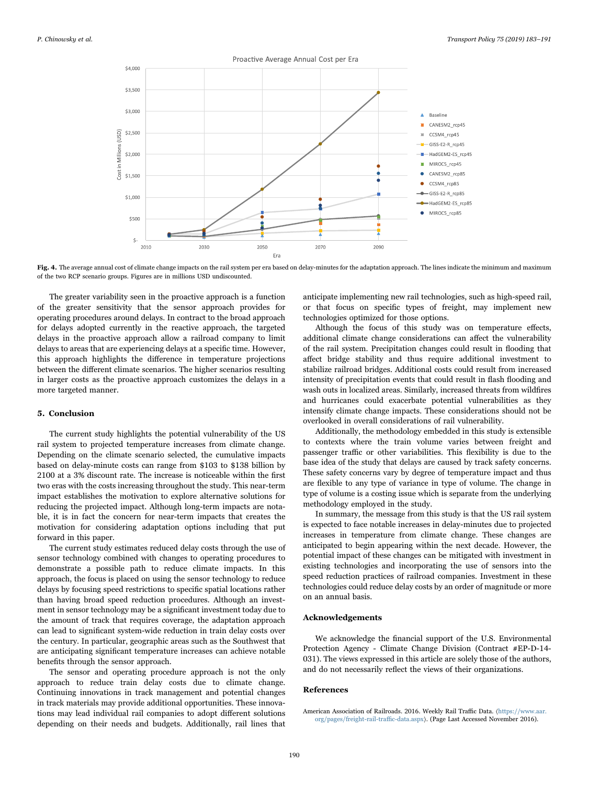<span id="page-7-1"></span>

Fig. 4. The average annual cost of climate change impacts on the rail system per era based on delay-minutes for the adaptation approach. The lines indicate the minimum and maximum of the two RCP scenario groups. Figures are in millions USD undiscounted.

The greater variability seen in the proactive approach is a function of the greater sensitivity that the sensor approach provides for operating procedures around delays. In contract to the broad approach for delays adopted currently in the reactive approach, the targeted delays in the proactive approach allow a railroad company to limit delays to areas that are experiencing delays at a specific time. However, this approach highlights the difference in temperature projections between the different climate scenarios. The higher scenarios resulting in larger costs as the proactive approach customizes the delays in a more targeted manner.

# 5. Conclusion

The current study highlights the potential vulnerability of the US rail system to projected temperature increases from climate change. Depending on the climate scenario selected, the cumulative impacts based on delay-minute costs can range from \$103 to \$138 billion by 2100 at a 3% discount rate. The increase is noticeable within the first two eras with the costs increasing throughout the study. This near-term impact establishes the motivation to explore alternative solutions for reducing the projected impact. Although long-term impacts are notable, it is in fact the concern for near-term impacts that creates the motivation for considering adaptation options including that put forward in this paper.

The current study estimates reduced delay costs through the use of sensor technology combined with changes to operating procedures to demonstrate a possible path to reduce climate impacts. In this approach, the focus is placed on using the sensor technology to reduce delays by focusing speed restrictions to specific spatial locations rather than having broad speed reduction procedures. Although an investment in sensor technology may be a significant investment today due to the amount of track that requires coverage, the adaptation approach can lead to significant system-wide reduction in train delay costs over the century. In particular, geographic areas such as the Southwest that are anticipating significant temperature increases can achieve notable benefits through the sensor approach.

The sensor and operating procedure approach is not the only approach to reduce train delay costs due to climate change. Continuing innovations in track management and potential changes in track materials may provide additional opportunities. These innovations may lead individual rail companies to adopt different solutions depending on their needs and budgets. Additionally, rail lines that

anticipate implementing new rail technologies, such as high-speed rail, or that focus on specific types of freight, may implement new technologies optimized for those options.

Although the focus of this study was on temperature effects, additional climate change considerations can affect the vulnerability of the rail system. Precipitation changes could result in flooding that affect bridge stability and thus require additional investment to stabilize railroad bridges. Additional costs could result from increased intensity of precipitation events that could result in flash flooding and wash outs in localized areas. Similarly, increased threats from wildfires and hurricanes could exacerbate potential vulnerabilities as they intensify climate change impacts. These considerations should not be overlooked in overall considerations of rail vulnerability.

Additionally, the methodology embedded in this study is extensible to contexts where the train volume varies between freight and passenger traffic or other variabilities. This flexibility is due to the base idea of the study that delays are caused by track safety concerns. These safety concerns vary by degree of temperature impact and thus are flexible to any type of variance in type of volume. The change in type of volume is a costing issue which is separate from the underlying methodology employed in the study.

In summary, the message from this study is that the US rail system is expected to face notable increases in delay-minutes due to projected increases in temperature from climate change. These changes are anticipated to begin appearing within the next decade. However, the potential impact of these changes can be mitigated with investment in existing technologies and incorporating the use of sensors into the speed reduction practices of railroad companies. Investment in these technologies could reduce delay costs by an order of magnitude or more on an annual basis.

### Acknowledgements

We acknowledge the financial support of the U.S. Environmental Protection Agency - Climate Change Division (Contract #EP-D-14- 031). The views expressed in this article are solely those of the authors, and do not necessarily reflect the views of their organizations.

# References

<span id="page-7-0"></span>American Association of Railroads. 2016. Weekly Rail Traffic Data. 〈[https://www.aar.](https://www.aar.org/pages/freight-rail-traffic-data.aspx) [org/pages/freight-rail-tra](https://www.aar.org/pages/freight-rail-traffic-data.aspx)ffic-data.aspx〉. (Page Last Accessed November 2016).